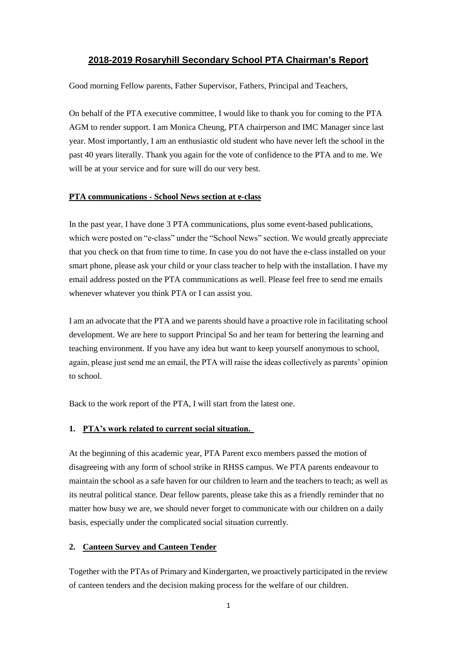# **2018-2019 Rosaryhill Secondary School PTA Chairman's Report**

Good morning Fellow parents, Father Supervisor, Fathers, Principal and Teachers,

On behalf of the PTA executive committee, I would like to thank you for coming to the PTA AGM to render support. I am Monica Cheung, PTA chairperson and IMC Manager since last year. Most importantly, I am an enthusiastic old student who have never left the school in the past 40 years literally. Thank you again for the vote of confidence to the PTA and to me. We will be at your service and for sure will do our very best.

#### **PTA communications - School News section at e-class**

In the past year, I have done 3 PTA communications, plus some event-based publications, which were posted on "e-class" under the "School News" section. We would greatly appreciate that you check on that from time to time. In case you do not have the e-class installed on your smart phone, please ask your child or your class teacher to help with the installation. I have my email address posted on the PTA communications as well. Please feel free to send me emails whenever whatever you think PTA or I can assist you.

I am an advocate that the PTA and we parents should have a proactive role in facilitating school development. We are here to support Principal So and her team for bettering the learning and teaching environment. If you have any idea but want to keep yourself anonymous to school, again, please just send me an email, the PTA will raise the ideas collectively as parents' opinion to school.

Back to the work report of the PTA, I will start from the latest one.

## **1. PTA's work related to current social situation.**

At the beginning of this academic year, PTA Parent exco members passed the motion of disagreeing with any form of school strike in RHSS campus. We PTA parents endeavour to maintain the school as a safe haven for our children to learn and the teachers to teach; as well as its neutral political stance. Dear fellow parents, please take this as a friendly reminder that no matter how busy we are, we should never forget to communicate with our children on a daily basis, especially under the complicated social situation currently.

## **2. Canteen Survey and Canteen Tender**

Together with the PTAs of Primary and Kindergarten, we proactively participated in the review of canteen tenders and the decision making process for the welfare of our children.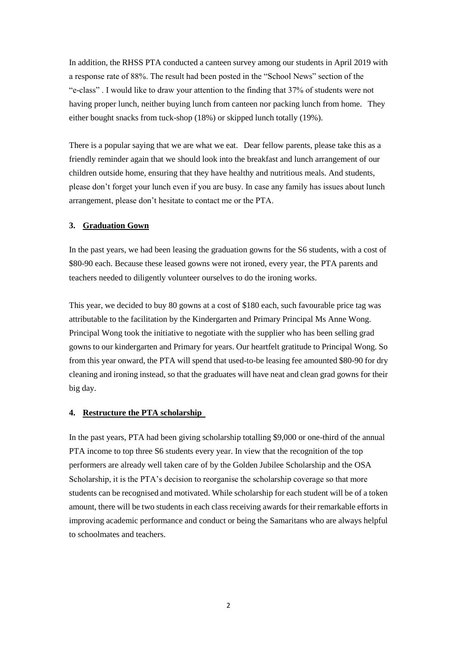In addition, the RHSS PTA conducted a canteen survey among our students in April 2019 with a response rate of 88%. The result had been posted in the "School News" section of the "e-class" . I would like to draw your attention to the finding that 37% of students were not having proper lunch, neither buying lunch from canteen nor packing lunch from home. They either bought snacks from tuck-shop (18%) or skipped lunch totally (19%).

There is a popular saying that we are what we eat. Dear fellow parents, please take this as a friendly reminder again that we should look into the breakfast and lunch arrangement of our children outside home, ensuring that they have healthy and nutritious meals. And students, please don't forget your lunch even if you are busy. In case any family has issues about lunch arrangement, please don't hesitate to contact me or the PTA.

### **3. Graduation Gown**

In the past years, we had been leasing the graduation gowns for the S6 students, with a cost of \$80-90 each. Because these leased gowns were not ironed, every year, the PTA parents and teachers needed to diligently volunteer ourselves to do the ironing works.

This year, we decided to buy 80 gowns at a cost of \$180 each, such favourable price tag was attributable to the facilitation by the Kindergarten and Primary Principal Ms Anne Wong. Principal Wong took the initiative to negotiate with the supplier who has been selling grad gowns to our kindergarten and Primary for years. Our heartfelt gratitude to Principal Wong. So from this year onward, the PTA will spend that used-to-be leasing fee amounted \$80-90 for dry cleaning and ironing instead, so that the graduates will have neat and clean grad gowns for their big day.

#### **4. Restructure the PTA scholarship**

In the past years, PTA had been giving scholarship totalling \$9,000 or one-third of the annual PTA income to top three S6 students every year. In view that the recognition of the top performers are already well taken care of by the Golden Jubilee Scholarship and the OSA Scholarship, it is the PTA's decision to reorganise the scholarship coverage so that more students can be recognised and motivated. While scholarship for each student will be of a token amount, there will be two students in each class receiving awards for their remarkable efforts in improving academic performance and conduct or being the Samaritans who are always helpful to schoolmates and teachers.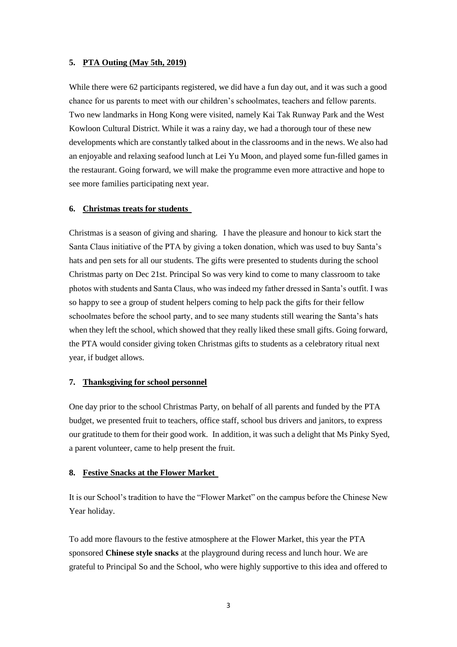### **5. PTA Outing (May 5th, 2019)**

While there were 62 participants registered, we did have a fun day out, and it was such a good chance for us parents to meet with our children's schoolmates, teachers and fellow parents. Two new landmarks in Hong Kong were visited, namely Kai Tak Runway Park and the West Kowloon Cultural District. While it was a rainy day, we had a thorough tour of these new developments which are constantly talked about in the classrooms and in the news. We also had an enjoyable and relaxing seafood lunch at Lei Yu Moon, and played some fun-filled games in the restaurant. Going forward, we will make the programme even more attractive and hope to see more families participating next year.

### **6. Christmas treats for students**

Christmas is a season of giving and sharing. I have the pleasure and honour to kick start the Santa Claus initiative of the PTA by giving a token donation, which was used to buy Santa's hats and pen sets for all our students. The gifts were presented to students during the school Christmas party on Dec 21st. Principal So was very kind to come to many classroom to take photos with students and Santa Claus, who was indeed my father dressed in Santa's outfit. I was so happy to see a group of student helpers coming to help pack the gifts for their fellow schoolmates before the school party, and to see many students still wearing the Santa's hats when they left the school, which showed that they really liked these small gifts. Going forward, the PTA would consider giving token Christmas gifts to students as a celebratory ritual next year, if budget allows.

### **7. Thanksgiving for school personnel**

One day prior to the school Christmas Party, on behalf of all parents and funded by the PTA budget, we presented fruit to teachers, office staff, school bus drivers and janitors, to express our gratitude to them for their good work. In addition, it was such a delight that Ms Pinky Syed, a parent volunteer, came to help present the fruit.

#### **8. Festive Snacks at the Flower Market**

It is our School's tradition to have the "Flower Market" on the campus before the Chinese New Year holiday.

To add more flavours to the festive atmosphere at the Flower Market, this year the PTA sponsored **Chinese style snacks** at the playground during recess and lunch hour. We are grateful to Principal So and the School, who were highly supportive to this idea and offered to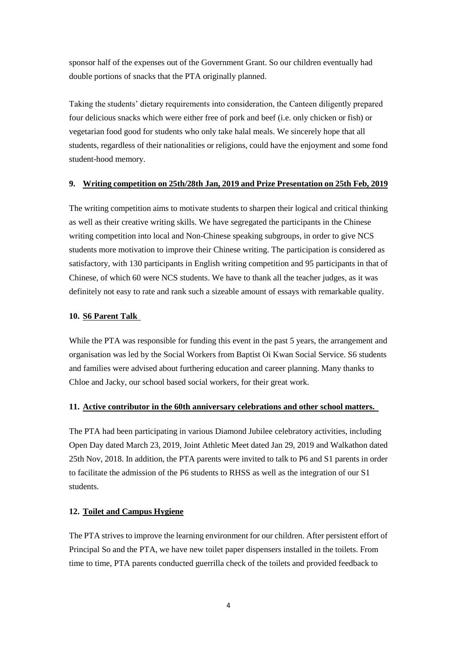sponsor half of the expenses out of the Government Grant. So our children eventually had double portions of snacks that the PTA originally planned.

Taking the students' dietary requirements into consideration, the Canteen diligently prepared four delicious snacks which were either free of pork and beef (i.e. only chicken or fish) or vegetarian food good for students who only take halal meals. We sincerely hope that all students, regardless of their nationalities or religions, could have the enjoyment and some fond student-hood memory.

## **9. Writing competition on 25th/28th Jan, 2019 and Prize Presentation on 25th Feb, 2019**

The writing competition aims to motivate students to sharpen their logical and critical thinking as well as their creative writing skills. We have segregated the participants in the Chinese writing competition into local and Non-Chinese speaking subgroups, in order to give NCS students more motivation to improve their Chinese writing. The participation is considered as satisfactory, with 130 participants in English writing competition and 95 participants in that of Chinese, of which 60 were NCS students. We have to thank all the teacher judges, as it was definitely not easy to rate and rank such a sizeable amount of essays with remarkable quality.

# **10. S6 Parent Talk**

While the PTA was responsible for funding this event in the past 5 years, the arrangement and organisation was led by the Social Workers from Baptist Oi Kwan Social Service. S6 students and families were advised about furthering education and career planning. Many thanks to Chloe and Jacky, our school based social workers, for their great work.

# **11. Active contributor in the 60th anniversary celebrations and other school matters.**

The PTA had been participating in various Diamond Jubilee celebratory activities, including Open Day dated March 23, 2019, Joint Athletic Meet dated Jan 29, 2019 and Walkathon dated 25th Nov, 2018. In addition, the PTA parents were invited to talk to P6 and S1 parents in order to facilitate the admission of the P6 students to RHSS as well as the integration of our S1 students.

# **12. Toilet and Campus Hygiene**

The PTA strives to improve the learning environment for our children. After persistent effort of Principal So and the PTA, we have new toilet paper dispensers installed in the toilets. From time to time, PTA parents conducted guerrilla check of the toilets and provided feedback to